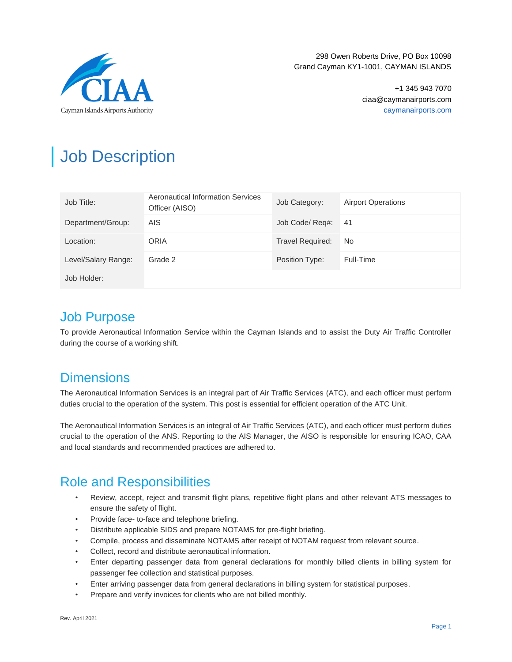

> +1 345 943 7070 ciaa@caymanairports.com caymanairports.com

# Job Description

| Job Title:          | Aeronautical Information Services<br>Officer (AISO) | Job Category:           | <b>Airport Operations</b> |
|---------------------|-----------------------------------------------------|-------------------------|---------------------------|
| Department/Group:   | AIS.                                                | Job Code/ Reg#:         | 41                        |
| Location:           | <b>ORIA</b>                                         | <b>Travel Required:</b> | No.                       |
| Level/Salary Range: | Grade 2                                             | Position Type:          | Full-Time                 |
| Job Holder:         |                                                     |                         |                           |

### Job Purpose

To provide Aeronautical Information Service within the Cayman Islands and to assist the Duty Air Traffic Controller during the course of a working shift.

### **Dimensions**

The Aeronautical Information Services is an integral part of Air Traffic Services (ATC), and each officer must perform duties crucial to the operation of the system. This post is essential for efficient operation of the ATC Unit.

The Aeronautical Information Services is an integral of Air Traffic Services (ATC), and each officer must perform duties crucial to the operation of the ANS. Reporting to the AIS Manager, the AISO is responsible for ensuring ICAO, CAA and local standards and recommended practices are adhered to.

# Role and Responsibilities

- Review, accept, reject and transmit flight plans, repetitive flight plans and other relevant ATS messages to ensure the safety of flight.
- Provide face- to-face and telephone briefing.
- Distribute applicable SIDS and prepare NOTAMS for pre-flight briefing.
- Compile, process and disseminate NOTAMS after receipt of NOTAM request from relevant source.
- Collect, record and distribute aeronautical information.
- Enter departing passenger data from general declarations for monthly billed clients in billing system for passenger fee collection and statistical purposes.
- Enter arriving passenger data from general declarations in billing system for statistical purposes.
- Prepare and verify invoices for clients who are not billed monthly.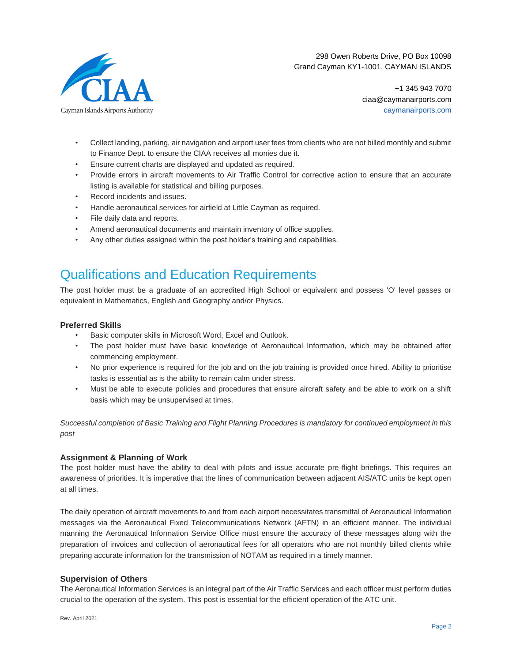

> +1 345 943 7070 ciaa@caymanairports.com caymanairports.com

- Collect landing, parking, air navigation and airport user fees from clients who are not billed monthly and submit to Finance Dept. to ensure the CIAA receives all monies due it.
- Ensure current charts are displayed and updated as required.
- Provide errors in aircraft movements to Air Traffic Control for corrective action to ensure that an accurate listing is available for statistical and billing purposes.
- Record incidents and issues.
- Handle aeronautical services for airfield at Little Cayman as required.
- File daily data and reports.
- Amend aeronautical documents and maintain inventory of office supplies.
- Any other duties assigned within the post holder's training and capabilities.

### Qualifications and Education Requirements

The post holder must be a graduate of an accredited High School or equivalent and possess 'O' level passes or equivalent in Mathematics, English and Geography and/or Physics.

#### **Preferred Skills**

- Basic computer skills in Microsoft Word, Excel and Outlook.
- The post holder must have basic knowledge of Aeronautical Information, which may be obtained after commencing employment.
- No prior experience is required for the job and on the job training is provided once hired. Ability to prioritise tasks is essential as is the ability to remain calm under stress.
- Must be able to execute policies and procedures that ensure aircraft safety and be able to work on a shift basis which may be unsupervised at times.

*Successful completion of Basic Training and Flight Planning Procedures is mandatory for continued employment in this post*

#### **Assignment & Planning of Work**

The post holder must have the ability to deal with pilots and issue accurate pre-flight briefings. This requires an awareness of priorities. It is imperative that the lines of communication between adjacent AIS/ATC units be kept open at all times.

The daily operation of aircraft movements to and from each airport necessitates transmittal of Aeronautical Information messages via the Aeronautical Fixed Telecommunications Network (AFTN) in an efficient manner. The individual manning the Aeronautical Information Service Office must ensure the accuracy of these messages along with the preparation of invoices and collection of aeronautical fees for all operators who are not monthly billed clients while preparing accurate information for the transmission of NOTAM as required in a timely manner.

#### **Supervision of Others**

The Aeronautical Information Services is an integral part of the Air Traffic Services and each officer must perform duties crucial to the operation of the system. This post is essential for the efficient operation of the ATC unit.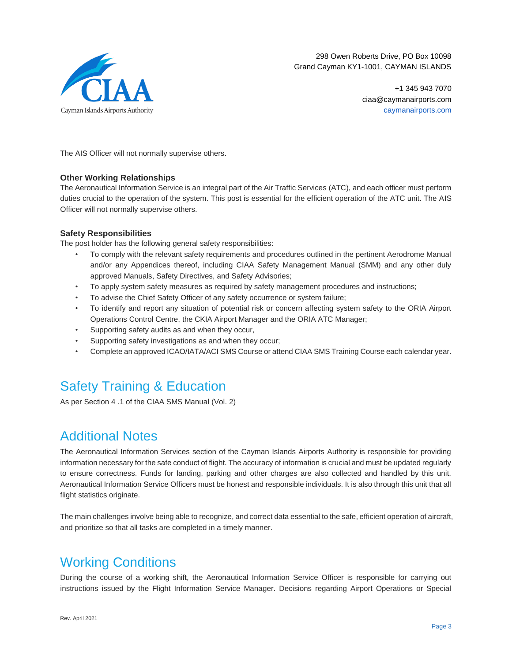

> +1 345 943 7070 ciaa@caymanairports.com caymanairports.com

The AIS Officer will not normally supervise others.

#### **Other Working Relationships**

The Aeronautical Information Service is an integral part of the Air Traffic Services (ATC), and each officer must perform duties crucial to the operation of the system. This post is essential for the efficient operation of the ATC unit. The AIS Officer will not normally supervise others.

#### **Safety Responsibilities**

The post holder has the following general safety responsibilities:

- To comply with the relevant safety requirements and procedures outlined in the pertinent Aerodrome Manual and/or any Appendices thereof, including CIAA Safety Management Manual (SMM) and any other duly approved Manuals, Safety Directives, and Safety Advisories;
- To apply system safety measures as required by safety management procedures and instructions;
- To advise the Chief Safety Officer of any safety occurrence or system failure;
- To identify and report any situation of potential risk or concern affecting system safety to the ORIA Airport Operations Control Centre, the CKIA Airport Manager and the ORIA ATC Manager;
- Supporting safety audits as and when they occur,
- Supporting safety investigations as and when they occur;
- Complete an approved ICAO/IATA/ACI SMS Course or attend CIAA SMS Training Course each calendar year.

# Safety Training & Education

As per Section 4 .1 of the CIAA SMS Manual (Vol. 2)

## Additional Notes

The Aeronautical Information Services section of the Cayman Islands Airports Authority is responsible for providing information necessary for the safe conduct of flight. The accuracy of information is crucial and must be updated regularly to ensure correctness. Funds for landing, parking and other charges are also collected and handled by this unit. Aeronautical Information Service Officers must be honest and responsible individuals. It is also through this unit that all flight statistics originate.

The main challenges involve being able to recognize, and correct data essential to the safe, efficient operation of aircraft, and prioritize so that all tasks are completed in a timely manner.

## Working Conditions

During the course of a working shift, the Aeronautical Information Service Officer is responsible for carrying out instructions issued by the Flight Information Service Manager. Decisions regarding Airport Operations or Special